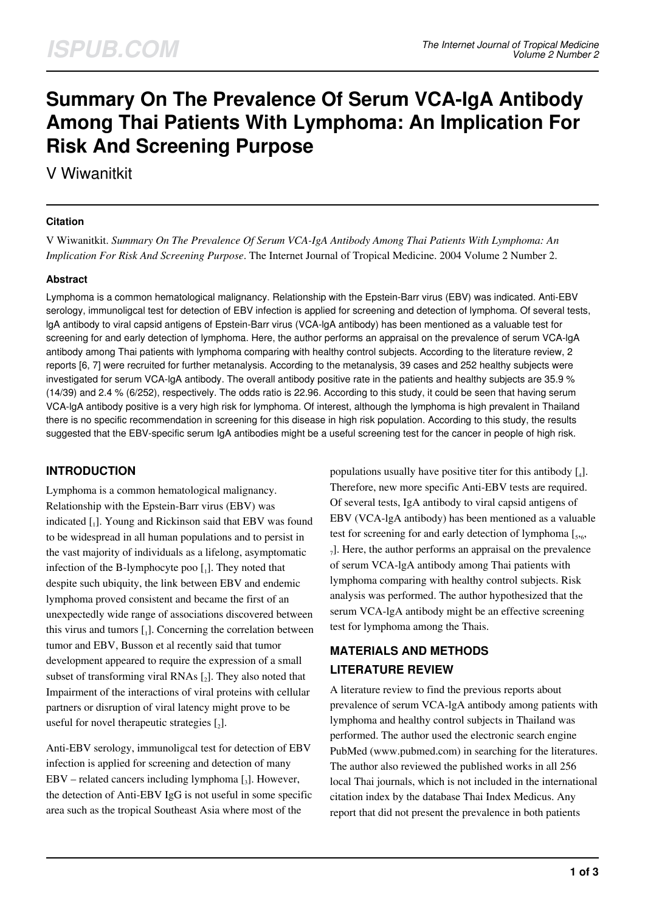# **Summary On The Prevalence Of Serum VCA-IgA Antibody Among Thai Patients With Lymphoma: An Implication For Risk And Screening Purpose**

V Wiwanitkit

#### **Citation**

V Wiwanitkit. *Summary On The Prevalence Of Serum VCA-IgA Antibody Among Thai Patients With Lymphoma: An Implication For Risk And Screening Purpose*. The Internet Journal of Tropical Medicine. 2004 Volume 2 Number 2.

#### **Abstract**

Lymphoma is a common hematological malignancy. Relationship with the Epstein-Barr virus (EBV) was indicated. Anti-EBV serology, immunoligcal test for detection of EBV infection is applied for screening and detection of lymphoma. Of several tests, lgA antibody to viral capsid antigens of Epstein-Barr virus (VCA-lgA antibody) has been mentioned as a valuable test for screening for and early detection of lymphoma. Here, the author performs an appraisal on the prevalence of serum VCA-lgA antibody among Thai patients with lymphoma comparing with healthy control subjects. According to the literature review, 2 reports [6, 7] were recruited for further metanalysis. According to the metanalysis, 39 cases and 252 healthy subjects were investigated for serum VCA-lgA antibody. The overall antibody positive rate in the patients and healthy subjects are 35.9 % (14/39) and 2.4 % (6/252), respectively. The odds ratio is 22.96. According to this study, it could be seen that having serum VCA-lgA antibody positive is a very high risk for lymphoma. Of interest, although the lymphoma is high prevalent in Thailand there is no specific recommendation in screening for this disease in high risk population. According to this study, the results suggested that the EBV-specific serum IgA antibodies might be a useful screening test for the cancer in people of high risk.

## **INTRODUCTION**

Lymphoma is a common hematological malignancy. Relationship with the Epstein-Barr virus (EBV) was indicated [1]. Young and Rickinson said that EBV was found to be widespread in all human populations and to persist in the vast majority of individuals as a lifelong, asymptomatic infection of the B-lymphocyte poo  $\left[ \begin{smallmatrix} . \end{smallmatrix} \right]$ . They noted that despite such ubiquity, the link between EBV and endemic lymphoma proved consistent and became the first of an unexpectedly wide range of associations discovered between this virus and tumors  $\begin{bmatrix} 1 \end{bmatrix}$ . Concerning the correlation between tumor and EBV, Busson et al recently said that tumor development appeared to require the expression of a small subset of transforming viral RNAs  $\left[2\right]$ . They also noted that Impairment of the interactions of viral proteins with cellular partners or disruption of viral latency might prove to be useful for novel therapeutic strategies  $\mathfrak{c}_2$ .

Anti-EBV serology, immunoligcal test for detection of EBV infection is applied for screening and detection of many EBV – related cancers including lymphoma [3]. However, the detection of Anti-EBV IgG is not useful in some specific area such as the tropical Southeast Asia where most of the

populations usually have positive titer for this antibody  $\left[\right._{4}\right]$ . Therefore, new more specific Anti-EBV tests are required. Of several tests, IgA antibody to viral capsid antigens of EBV (VCA-lgA antibody) has been mentioned as a valuable test for screening for and early detection of lymphoma  $[s, 6, 6]$ 7 ]. Here, the author performs an appraisal on the prevalence of serum VCA-lgA antibody among Thai patients with lymphoma comparing with healthy control subjects. Risk analysis was performed. The author hypothesized that the serum VCA-lgA antibody might be an effective screening test for lymphoma among the Thais.

# **MATERIALS AND METHODS LITERATURE REVIEW**

A literature review to find the previous reports about prevalence of serum VCA-lgA antibody among patients with lymphoma and healthy control subjects in Thailand was performed. The author used the electronic search engine PubMed (www.pubmed.com) in searching for the literatures. The author also reviewed the published works in all 256 local Thai journals, which is not included in the international citation index by the database Thai Index Medicus. Any report that did not present the prevalence in both patients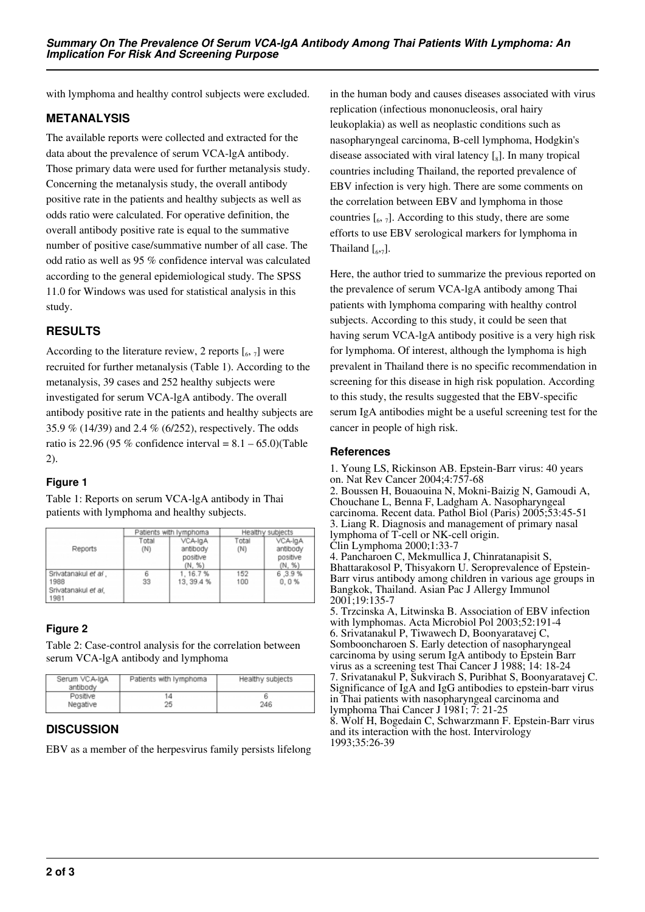with lymphoma and healthy control subjects were excluded.

#### **METANALYSIS**

The available reports were collected and extracted for the data about the prevalence of serum VCA-lgA antibody. Those primary data were used for further metanalysis study. Concerning the metanalysis study, the overall antibody positive rate in the patients and healthy subjects as well as odds ratio were calculated. For operative definition, the overall antibody positive rate is equal to the summative number of positive case/summative number of all case. The odd ratio as well as 95 % confidence interval was calculated according to the general epidemiological study. The SPSS 11.0 for Windows was used for statistical analysis in this study.

# **RESULTS**

According to the literature review, 2 reports  $\left[\begin{smallmatrix}6&7\end{smallmatrix}\right]$  were recruited for further metanalysis (Table 1). According to the metanalysis, 39 cases and 252 healthy subjects were investigated for serum VCA-lgA antibody. The overall antibody positive rate in the patients and healthy subjects are 35.9 % (14/39) and 2.4 % (6/252), respectively. The odds ratio is 22.96 (95 % confidence interval =  $8.1 - 65.0$ )(Table 2).

#### **Figure 1**

Table 1: Reports on serum VCA-lgA antibody in Thai patients with lymphoma and healthy subjects.

|                                                            | Patients with lymphoma |                                           | Healthy subjects |                                           |
|------------------------------------------------------------|------------------------|-------------------------------------------|------------------|-------------------------------------------|
| Reports                                                    | Total<br>(N)           | VCA-IgA<br>antibody<br>positive<br>(N, %) | Total<br>(N)     | VCA-IgA<br>antibody<br>positive<br>(N, %) |
| Srivatanakul et al.<br>1988<br>Srivatanakul et al.<br>1981 | 6<br>33                | 1, 16.7%<br>13, 39.4 %                    | 152<br>100       | 6,3.9%<br>0,0%                            |

## **Figure 2**

Table 2: Case-control analysis for the correlation between serum VCA-lgA antibody and lymphoma

| Serum VCA-IgA<br>antibody | Patients with lymphoma | Healthy subjects |
|---------------------------|------------------------|------------------|
| Positive                  | 14                     |                  |
| Negative                  | 25                     | 246              |

#### **DISCUSSION**

EBV as a member of the herpesvirus family persists lifelong

in the human body and causes diseases associated with virus replication (infectious mononucleosis, oral hairy leukoplakia) as well as neoplastic conditions such as nasopharyngeal carcinoma, B-cell lymphoma, Hodgkin's disease associated with viral latency [<sub>8</sub>]. In many tropical countries including Thailand, the reported prevalence of EBV infection is very high. There are some comments on the correlation between EBV and lymphoma in those countries  $\left[\begin{smallmatrix}6&7\end{smallmatrix}\right]$ . According to this study, there are some efforts to use EBV serological markers for lymphoma in Thailand  $\left[\begin{smallmatrix}6,7\end{smallmatrix}\right]$ .

Here, the author tried to summarize the previous reported on the prevalence of serum VCA-lgA antibody among Thai patients with lymphoma comparing with healthy control subjects. According to this study, it could be seen that having serum VCA-lgA antibody positive is a very high risk for lymphoma. Of interest, although the lymphoma is high prevalent in Thailand there is no specific recommendation in screening for this disease in high risk population. According to this study, the results suggested that the EBV-specific serum IgA antibodies might be a useful screening test for the cancer in people of high risk.

#### **References**

1. Young LS, Rickinson AB. Epstein-Barr virus: 40 years on. Nat Rev Cancer 2004;4:757-68 2. Boussen H, Bouaouina N, Mokni-Baizig N, Gamoudi A, Chouchane L, Benna F, Ladgham A. Nasopharyngeal carcinoma. Recent data. Pathol Biol (Paris) 2005;53:45-51 3. Liang R. Diagnosis and management of primary nasal lymphoma of T-cell or NK-cell origin. Clin Lymphoma 2000;1:33-7 4. Pancharoen C, Mekmullica J, Chinratanapisit S, Bhattarakosol P, Thisyakorn U. Seroprevalence of Epstein-Barr virus antibody among children in various age groups in Bangkok, Thailand. Asian Pac J Allergy Immunol 2001;19:135-7 5. Trzcinska A, Litwinska B. Association of EBV infection with lymphomas. Acta Microbiol Pol 2003;52:191-4 6. Srivatanakul P, Tiwawech D, Boonyaratavej C, Sombooncharoen S. Early detection of nasopharyngeal carcinoma by using serum IgA antibody to Epstein Barr virus as a screening test Thai Cancer J 1988; 14: 18-24 7. Srivatanakul P, Sukvirach S, Puribhat S, Boonyaratavej C. Significance of IgA and IgG antibodies to epstein-barr virus in Thai patients with nasopharyngeal carcinoma and lymphoma Thai Cancer J 1981; 7: 21-25 8. Wolf H, Bogedain C, Schwarzmann F. Epstein-Barr virus and its interaction with the host. Intervirology 1993;35:26-39